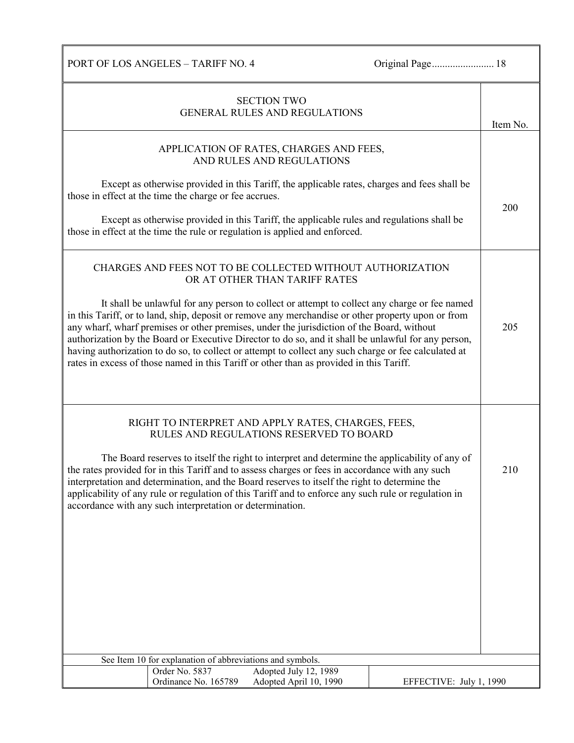|                                                           | <b>SECTION TWO</b>                                                                                                                                                                                    |                         |          |
|-----------------------------------------------------------|-------------------------------------------------------------------------------------------------------------------------------------------------------------------------------------------------------|-------------------------|----------|
|                                                           | <b>GENERAL RULES AND REGULATIONS</b>                                                                                                                                                                  |                         |          |
|                                                           |                                                                                                                                                                                                       |                         | Item No. |
|                                                           | APPLICATION OF RATES, CHARGES AND FEES,                                                                                                                                                               |                         |          |
|                                                           | AND RULES AND REGULATIONS                                                                                                                                                                             |                         |          |
|                                                           |                                                                                                                                                                                                       |                         |          |
| those in effect at the time the charge or fee accrues.    | Except as otherwise provided in this Tariff, the applicable rates, charges and fees shall be                                                                                                          |                         |          |
|                                                           |                                                                                                                                                                                                       |                         | 200      |
|                                                           | Except as otherwise provided in this Tariff, the applicable rules and regulations shall be<br>those in effect at the time the rule or regulation is applied and enforced.                             |                         |          |
|                                                           |                                                                                                                                                                                                       |                         |          |
|                                                           | CHARGES AND FEES NOT TO BE COLLECTED WITHOUT AUTHORIZATION<br>OR AT OTHER THAN TARIFF RATES                                                                                                           |                         |          |
|                                                           | It shall be unlawful for any person to collect or attempt to collect any charge or fee named                                                                                                          |                         |          |
|                                                           | in this Tariff, or to land, ship, deposit or remove any merchandise or other property upon or from                                                                                                    |                         |          |
|                                                           | any wharf, wharf premises or other premises, under the jurisdiction of the Board, without                                                                                                             |                         | 205      |
|                                                           | authorization by the Board or Executive Director to do so, and it shall be unlawful for any person,                                                                                                   |                         |          |
|                                                           | having authorization to do so, to collect or attempt to collect any such charge or fee calculated at<br>rates in excess of those named in this Tariff or other than as provided in this Tariff.       |                         |          |
|                                                           |                                                                                                                                                                                                       |                         |          |
|                                                           |                                                                                                                                                                                                       |                         |          |
|                                                           |                                                                                                                                                                                                       |                         |          |
|                                                           | RIGHT TO INTERPRET AND APPLY RATES, CHARGES, FEES,                                                                                                                                                    |                         |          |
|                                                           | RULES AND REGULATIONS RESERVED TO BOARD                                                                                                                                                               |                         |          |
|                                                           |                                                                                                                                                                                                       |                         |          |
|                                                           | The Board reserves to itself the right to interpret and determine the applicability of any of                                                                                                         |                         |          |
|                                                           | the rates provided for in this Tariff and to assess charges or fees in accordance with any such                                                                                                       |                         | 210      |
|                                                           | interpretation and determination, and the Board reserves to itself the right to determine the<br>applicability of any rule or regulation of this Tariff and to enforce any such rule or regulation in |                         |          |
| accordance with any such interpretation or determination. |                                                                                                                                                                                                       |                         |          |
|                                                           |                                                                                                                                                                                                       |                         |          |
|                                                           |                                                                                                                                                                                                       |                         |          |
|                                                           |                                                                                                                                                                                                       |                         |          |
|                                                           |                                                                                                                                                                                                       |                         |          |
|                                                           |                                                                                                                                                                                                       |                         |          |
|                                                           |                                                                                                                                                                                                       |                         |          |
|                                                           |                                                                                                                                                                                                       |                         |          |
|                                                           |                                                                                                                                                                                                       |                         |          |
|                                                           |                                                                                                                                                                                                       |                         |          |
|                                                           |                                                                                                                                                                                                       |                         |          |
| See Item 10 for explanation of abbreviations and symbols. |                                                                                                                                                                                                       |                         |          |
| Order No. 5837<br>Ordinance No. 165789                    | Adopted July 12, 1989<br>Adopted April 10, 1990                                                                                                                                                       | EFFECTIVE: July 1, 1990 |          |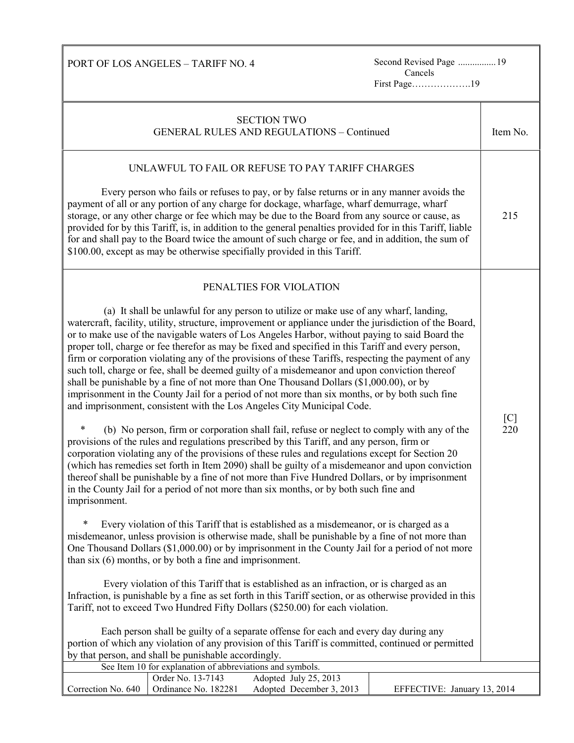PORT OF LOS ANGELES – TARIFF NO. 4

Second Revised Page ................ 19<br>Cancels First Page……………….19

| <b>SECTION TWO</b><br><b>GENERAL RULES AND REGULATIONS - Continued</b>                                                                                                                                                                                                                                                                                                                                                                                                                                                                                                                                                                                                                                                                                                                                                                                                                                                                                                                                                                                                                                                                                                                                                                                                                                                                                                                                                                                                                                                                                                                                                                                                                                                                                                                                                                                                                                                                                                                                                                                                                                                                                                                                                                                                                                                                                                                           | Item No. |  |
|--------------------------------------------------------------------------------------------------------------------------------------------------------------------------------------------------------------------------------------------------------------------------------------------------------------------------------------------------------------------------------------------------------------------------------------------------------------------------------------------------------------------------------------------------------------------------------------------------------------------------------------------------------------------------------------------------------------------------------------------------------------------------------------------------------------------------------------------------------------------------------------------------------------------------------------------------------------------------------------------------------------------------------------------------------------------------------------------------------------------------------------------------------------------------------------------------------------------------------------------------------------------------------------------------------------------------------------------------------------------------------------------------------------------------------------------------------------------------------------------------------------------------------------------------------------------------------------------------------------------------------------------------------------------------------------------------------------------------------------------------------------------------------------------------------------------------------------------------------------------------------------------------------------------------------------------------------------------------------------------------------------------------------------------------------------------------------------------------------------------------------------------------------------------------------------------------------------------------------------------------------------------------------------------------------------------------------------------------------------------------------------------------|----------|--|
| UNLAWFUL TO FAIL OR REFUSE TO PAY TARIFF CHARGES<br>Every person who fails or refuses to pay, or by false returns or in any manner avoids the<br>payment of all or any portion of any charge for dockage, wharfage, wharf demurrage, wharf<br>storage, or any other charge or fee which may be due to the Board from any source or cause, as<br>provided for by this Tariff, is, in addition to the general penalties provided for in this Tariff, liable<br>for and shall pay to the Board twice the amount of such charge or fee, and in addition, the sum of<br>\$100.00, except as may be otherwise specifially provided in this Tariff.                                                                                                                                                                                                                                                                                                                                                                                                                                                                                                                                                                                                                                                                                                                                                                                                                                                                                                                                                                                                                                                                                                                                                                                                                                                                                                                                                                                                                                                                                                                                                                                                                                                                                                                                                     | 215      |  |
| PENALTIES FOR VIOLATION<br>(a) It shall be unlawful for any person to utilize or make use of any wharf, landing,<br>watercraft, facility, utility, structure, improvement or appliance under the jurisdiction of the Board,<br>or to make use of the navigable waters of Los Angeles Harbor, without paying to said Board the<br>proper toll, charge or fee therefor as may be fixed and specified in this Tariff and every person,<br>firm or corporation violating any of the provisions of these Tariffs, respecting the payment of any<br>such toll, charge or fee, shall be deemed guilty of a misdemeanor and upon conviction thereof<br>shall be punishable by a fine of not more than One Thousand Dollars (\$1,000.00), or by<br>imprisonment in the County Jail for a period of not more than six months, or by both such fine<br>and imprisonment, consistent with the Los Angeles City Municipal Code.<br>(b) No person, firm or corporation shall fail, refuse or neglect to comply with any of the<br>*<br>provisions of the rules and regulations prescribed by this Tariff, and any person, firm or<br>corporation violating any of the provisions of these rules and regulations except for Section 20<br>(which has remedies set forth in Item 2090) shall be guilty of a misdemeanor and upon conviction<br>thereof shall be punishable by a fine of not more than Five Hundred Dollars, or by imprisonment<br>in the County Jail for a period of not more than six months, or by both such fine and<br>imprisonment.<br>Every violation of this Tariff that is established as a misdemeanor, or is charged as a<br>misdemeanor, unless provision is otherwise made, shall be punishable by a fine of not more than<br>One Thousand Dollars (\$1,000.00) or by imprisonment in the County Jail for a period of not more<br>than $six(6)$ months, or by both a fine and imprisonment.<br>Every violation of this Tariff that is established as an infraction, or is charged as an<br>Infraction, is punishable by a fine as set forth in this Tariff section, or as otherwise provided in this<br>Tariff, not to exceed Two Hundred Fifty Dollars (\$250.00) for each violation.<br>Each person shall be guilty of a separate offense for each and every day during any<br>portion of which any violation of any provision of this Tariff is committed, continued or permitted |          |  |
| See Item 10 for explanation of abbreviations and symbols.<br>Adopted July 25, 2013<br>Order No. 13-7143                                                                                                                                                                                                                                                                                                                                                                                                                                                                                                                                                                                                                                                                                                                                                                                                                                                                                                                                                                                                                                                                                                                                                                                                                                                                                                                                                                                                                                                                                                                                                                                                                                                                                                                                                                                                                                                                                                                                                                                                                                                                                                                                                                                                                                                                                          |          |  |
| Adopted December 3, 2013<br>Correction No. 640<br>Ordinance No. 182281<br>EFFECTIVE: January 13, 2014                                                                                                                                                                                                                                                                                                                                                                                                                                                                                                                                                                                                                                                                                                                                                                                                                                                                                                                                                                                                                                                                                                                                                                                                                                                                                                                                                                                                                                                                                                                                                                                                                                                                                                                                                                                                                                                                                                                                                                                                                                                                                                                                                                                                                                                                                            |          |  |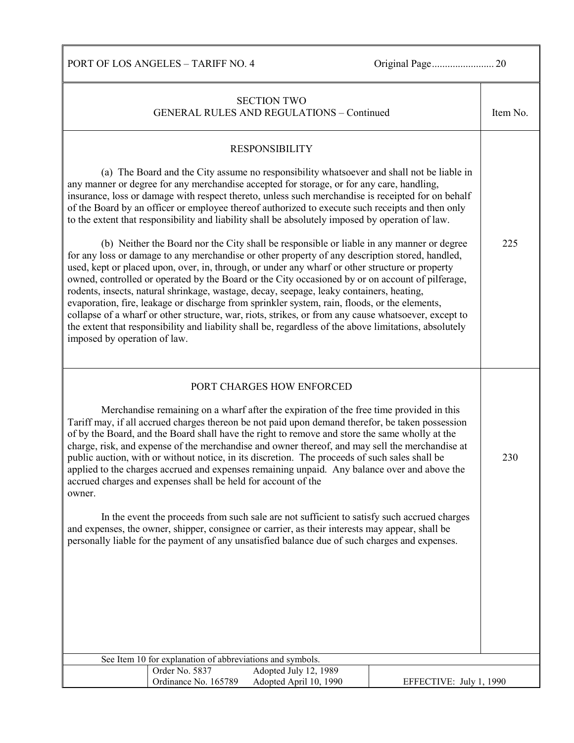| <b>SECTION TWO</b><br><b>GENERAL RULES AND REGULATIONS - Continued</b>                                                                                                                                                                                                                                                                                                                                                                                                                                                                                                                                                                                                                                                                                                                                                                                                                                                                                 |  |  |  |
|--------------------------------------------------------------------------------------------------------------------------------------------------------------------------------------------------------------------------------------------------------------------------------------------------------------------------------------------------------------------------------------------------------------------------------------------------------------------------------------------------------------------------------------------------------------------------------------------------------------------------------------------------------------------------------------------------------------------------------------------------------------------------------------------------------------------------------------------------------------------------------------------------------------------------------------------------------|--|--|--|
| <b>RESPONSIBILITY</b><br>(a) The Board and the City assume no responsibility whatsoever and shall not be liable in<br>any manner or degree for any merchandise accepted for storage, or for any care, handling,<br>insurance, loss or damage with respect thereto, unless such merchandise is receipted for on behalf<br>of the Board by an officer or employee thereof authorized to execute such receipts and then only                                                                                                                                                                                                                                                                                                                                                                                                                                                                                                                              |  |  |  |
| to the extent that responsibility and liability shall be absolutely imposed by operation of law.<br>(b) Neither the Board nor the City shall be responsible or liable in any manner or degree<br>for any loss or damage to any merchandise or other property of any description stored, handled,<br>used, kept or placed upon, over, in, through, or under any wharf or other structure or property<br>owned, controlled or operated by the Board or the City occasioned by or on account of pilferage,<br>rodents, insects, natural shrinkage, wastage, decay, seepage, leaky containers, heating,<br>evaporation, fire, leakage or discharge from sprinkler system, rain, floods, or the elements,<br>collapse of a wharf or other structure, war, riots, strikes, or from any cause whatsoever, except to<br>the extent that responsibility and liability shall be, regardless of the above limitations, absolutely<br>imposed by operation of law. |  |  |  |
| PORT CHARGES HOW ENFORCED                                                                                                                                                                                                                                                                                                                                                                                                                                                                                                                                                                                                                                                                                                                                                                                                                                                                                                                              |  |  |  |
| Merchandise remaining on a wharf after the expiration of the free time provided in this<br>Tariff may, if all accrued charges thereon be not paid upon demand therefor, be taken possession<br>of by the Board, and the Board shall have the right to remove and store the same wholly at the<br>charge, risk, and expense of the merchandise and owner thereof, and may sell the merchandise at<br>public auction, with or without notice, in its discretion. The proceeds of such sales shall be<br>applied to the charges accrued and expenses remaining unpaid. Any balance over and above the<br>accrued charges and expenses shall be held for account of the<br>owner.                                                                                                                                                                                                                                                                          |  |  |  |
| In the event the proceeds from such sale are not sufficient to satisfy such accrued charges<br>and expenses, the owner, shipper, consignee or carrier, as their interests may appear, shall be<br>personally liable for the payment of any unsatisfied balance due of such charges and expenses.                                                                                                                                                                                                                                                                                                                                                                                                                                                                                                                                                                                                                                                       |  |  |  |
|                                                                                                                                                                                                                                                                                                                                                                                                                                                                                                                                                                                                                                                                                                                                                                                                                                                                                                                                                        |  |  |  |
|                                                                                                                                                                                                                                                                                                                                                                                                                                                                                                                                                                                                                                                                                                                                                                                                                                                                                                                                                        |  |  |  |
| See Item 10 for explanation of abbreviations and symbols.                                                                                                                                                                                                                                                                                                                                                                                                                                                                                                                                                                                                                                                                                                                                                                                                                                                                                              |  |  |  |
| Order No. 5837<br>Adopted July 12, 1989                                                                                                                                                                                                                                                                                                                                                                                                                                                                                                                                                                                                                                                                                                                                                                                                                                                                                                                |  |  |  |
| Ordinance No. 165789<br>Adopted April 10, 1990<br>EFFECTIVE: July 1, 1990                                                                                                                                                                                                                                                                                                                                                                                                                                                                                                                                                                                                                                                                                                                                                                                                                                                                              |  |  |  |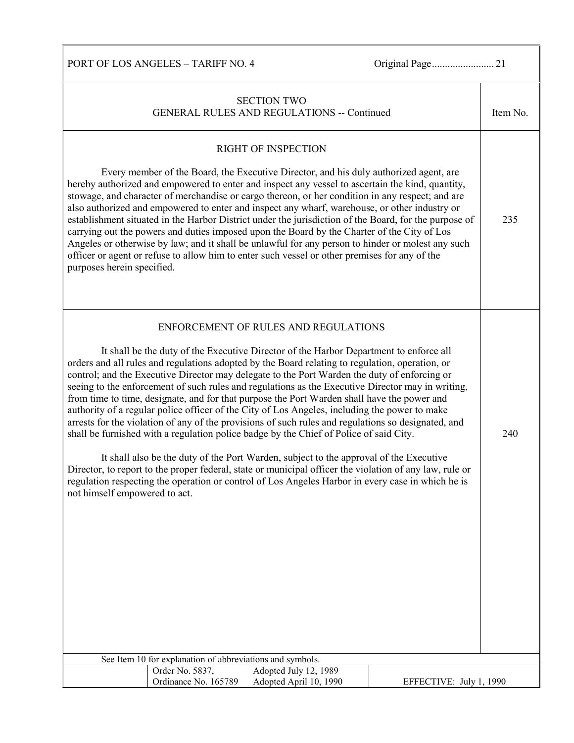| <b>SECTION TWO</b><br><b>GENERAL RULES AND REGULATIONS -- Continued</b>                                                                                                                                                                                                                                                                                                                                                                                                                                                                                                                                                                                                                                                                                                                                                                                                                                                                                                                                                                                                                                                                                                            | Item No. |  |
|------------------------------------------------------------------------------------------------------------------------------------------------------------------------------------------------------------------------------------------------------------------------------------------------------------------------------------------------------------------------------------------------------------------------------------------------------------------------------------------------------------------------------------------------------------------------------------------------------------------------------------------------------------------------------------------------------------------------------------------------------------------------------------------------------------------------------------------------------------------------------------------------------------------------------------------------------------------------------------------------------------------------------------------------------------------------------------------------------------------------------------------------------------------------------------|----------|--|
| <b>RIGHT OF INSPECTION</b><br>Every member of the Board, the Executive Director, and his duly authorized agent, are<br>hereby authorized and empowered to enter and inspect any vessel to ascertain the kind, quantity,<br>stowage, and character of merchandise or cargo thereon, or her condition in any respect; and are<br>also authorized and empowered to enter and inspect any wharf, warehouse, or other industry or<br>establishment situated in the Harbor District under the jurisdiction of the Board, for the purpose of<br>carrying out the powers and duties imposed upon the Board by the Charter of the City of Los<br>Angeles or otherwise by law; and it shall be unlawful for any person to hinder or molest any such<br>officer or agent or refuse to allow him to enter such vessel or other premises for any of the<br>purposes herein specified.                                                                                                                                                                                                                                                                                                           | 235      |  |
| ENFORCEMENT OF RULES AND REGULATIONS<br>It shall be the duty of the Executive Director of the Harbor Department to enforce all<br>orders and all rules and regulations adopted by the Board relating to regulation, operation, or<br>control; and the Executive Director may delegate to the Port Warden the duty of enforcing or<br>seeing to the enforcement of such rules and regulations as the Executive Director may in writing,<br>from time to time, designate, and for that purpose the Port Warden shall have the power and<br>authority of a regular police officer of the City of Los Angeles, including the power to make<br>arrests for the violation of any of the provisions of such rules and regulations so designated, and<br>shall be furnished with a regulation police badge by the Chief of Police of said City.<br>It shall also be the duty of the Port Warden, subject to the approval of the Executive<br>Director, to report to the proper federal, state or municipal officer the violation of any law, rule or<br>regulation respecting the operation or control of Los Angeles Harbor in every case in which he is<br>not himself empowered to act. |          |  |
| See Item 10 for explanation of abbreviations and symbols.                                                                                                                                                                                                                                                                                                                                                                                                                                                                                                                                                                                                                                                                                                                                                                                                                                                                                                                                                                                                                                                                                                                          |          |  |
| Adopted July 12, 1989<br>Order No. 5837,<br>Ordinance No. 165789<br>Adopted April 10, 1990<br>EFFECTIVE: July 1, 1990                                                                                                                                                                                                                                                                                                                                                                                                                                                                                                                                                                                                                                                                                                                                                                                                                                                                                                                                                                                                                                                              |          |  |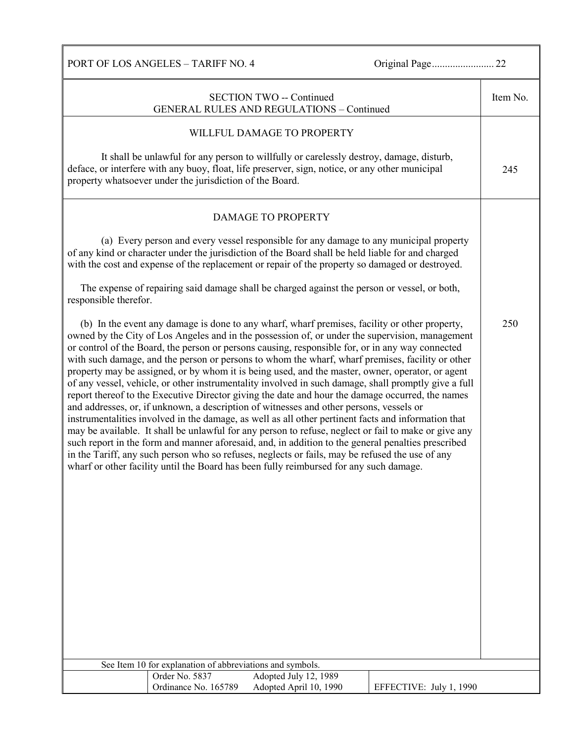|                       |                                                           | <b>SECTION TWO -- Continued</b><br><b>GENERAL RULES AND REGULATIONS - Continued</b>                                                                                                                                                                                                                                                                                                                                                                                                                                                                                                                                                                                                                                                                                                                                                                                                                                                                                                                                                                                                                                                                                                                                                                                                                                                   |                         | Item No. |
|-----------------------|-----------------------------------------------------------|---------------------------------------------------------------------------------------------------------------------------------------------------------------------------------------------------------------------------------------------------------------------------------------------------------------------------------------------------------------------------------------------------------------------------------------------------------------------------------------------------------------------------------------------------------------------------------------------------------------------------------------------------------------------------------------------------------------------------------------------------------------------------------------------------------------------------------------------------------------------------------------------------------------------------------------------------------------------------------------------------------------------------------------------------------------------------------------------------------------------------------------------------------------------------------------------------------------------------------------------------------------------------------------------------------------------------------------|-------------------------|----------|
|                       |                                                           | WILLFUL DAMAGE TO PROPERTY                                                                                                                                                                                                                                                                                                                                                                                                                                                                                                                                                                                                                                                                                                                                                                                                                                                                                                                                                                                                                                                                                                                                                                                                                                                                                                            |                         |          |
|                       | property whatsoever under the jurisdiction of the Board.  | It shall be unlawful for any person to willfully or carelessly destroy, damage, disturb,<br>deface, or interfere with any buoy, float, life preserver, sign, notice, or any other municipal                                                                                                                                                                                                                                                                                                                                                                                                                                                                                                                                                                                                                                                                                                                                                                                                                                                                                                                                                                                                                                                                                                                                           |                         | 245      |
|                       |                                                           | <b>DAMAGE TO PROPERTY</b>                                                                                                                                                                                                                                                                                                                                                                                                                                                                                                                                                                                                                                                                                                                                                                                                                                                                                                                                                                                                                                                                                                                                                                                                                                                                                                             |                         |          |
|                       |                                                           | (a) Every person and every vessel responsible for any damage to any municipal property<br>of any kind or character under the jurisdiction of the Board shall be held liable for and charged<br>with the cost and expense of the replacement or repair of the property so damaged or destroyed.                                                                                                                                                                                                                                                                                                                                                                                                                                                                                                                                                                                                                                                                                                                                                                                                                                                                                                                                                                                                                                        |                         |          |
| responsible therefor. |                                                           | The expense of repairing said damage shall be charged against the person or vessel, or both,                                                                                                                                                                                                                                                                                                                                                                                                                                                                                                                                                                                                                                                                                                                                                                                                                                                                                                                                                                                                                                                                                                                                                                                                                                          |                         |          |
|                       |                                                           | (b) In the event any damage is done to any wharf, wharf premises, facility or other property,<br>owned by the City of Los Angeles and in the possession of, or under the supervision, management<br>or control of the Board, the person or persons causing, responsible for, or in any way connected<br>with such damage, and the person or persons to whom the wharf, wharf premises, facility or other<br>property may be assigned, or by whom it is being used, and the master, owner, operator, or agent<br>of any vessel, vehicle, or other instrumentality involved in such damage, shall promptly give a full<br>report thereof to the Executive Director giving the date and hour the damage occurred, the names<br>and addresses, or, if unknown, a description of witnesses and other persons, vessels or<br>instrumentalities involved in the damage, as well as all other pertinent facts and information that<br>may be available. It shall be unlawful for any person to refuse, neglect or fail to make or give any<br>such report in the form and manner aforesaid, and, in addition to the general penalties prescribed<br>in the Tariff, any such person who so refuses, neglects or fails, may be refused the use of any<br>wharf or other facility until the Board has been fully reimbursed for any such damage. |                         | 250      |
|                       | See Item 10 for explanation of abbreviations and symbols. |                                                                                                                                                                                                                                                                                                                                                                                                                                                                                                                                                                                                                                                                                                                                                                                                                                                                                                                                                                                                                                                                                                                                                                                                                                                                                                                                       |                         |          |
|                       | Order No. 5837<br>Ordinance No. 165789                    | Adopted July 12, 1989<br>Adopted April 10, 1990                                                                                                                                                                                                                                                                                                                                                                                                                                                                                                                                                                                                                                                                                                                                                                                                                                                                                                                                                                                                                                                                                                                                                                                                                                                                                       | EFFECTIVE: July 1, 1990 |          |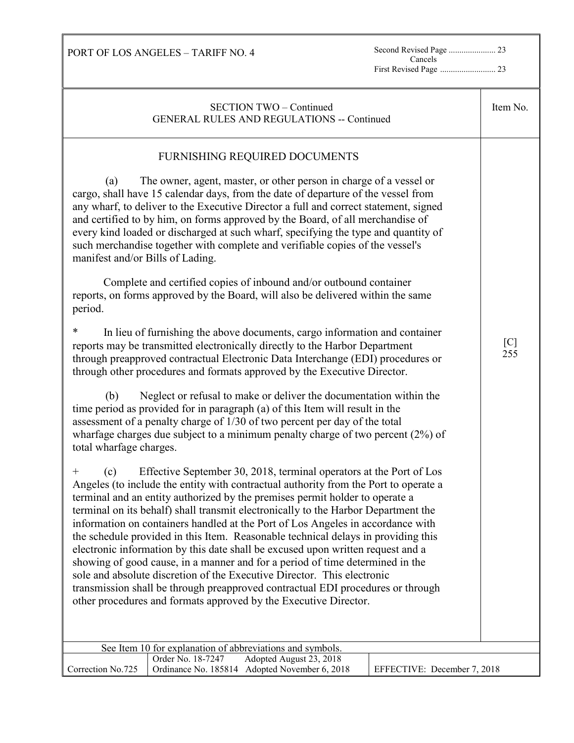Cancels

PORT OF LOS ANGELES – TARIFF NO. 4

First Revised Page .......................... 23

| <b>SECTION TWO - Continued</b><br><b>GENERAL RULES AND REGULATIONS -- Continued</b>                                                                                                                                                                                                                                                                                                                                                                                                                                                                                                                                                                                                                                                                                                                                                                                                                                                                                                                                                                                                                                                                                                                                                                                                                                                                                                                                                                                                                                                                                                                                                                                                                                                                                                                                                                                                                                                                                                                                                                                                                                                                                                                                                                                                                                                                                                                                                                      |            |  |  |
|----------------------------------------------------------------------------------------------------------------------------------------------------------------------------------------------------------------------------------------------------------------------------------------------------------------------------------------------------------------------------------------------------------------------------------------------------------------------------------------------------------------------------------------------------------------------------------------------------------------------------------------------------------------------------------------------------------------------------------------------------------------------------------------------------------------------------------------------------------------------------------------------------------------------------------------------------------------------------------------------------------------------------------------------------------------------------------------------------------------------------------------------------------------------------------------------------------------------------------------------------------------------------------------------------------------------------------------------------------------------------------------------------------------------------------------------------------------------------------------------------------------------------------------------------------------------------------------------------------------------------------------------------------------------------------------------------------------------------------------------------------------------------------------------------------------------------------------------------------------------------------------------------------------------------------------------------------------------------------------------------------------------------------------------------------------------------------------------------------------------------------------------------------------------------------------------------------------------------------------------------------------------------------------------------------------------------------------------------------------------------------------------------------------------------------------------------------|------------|--|--|
| FURNISHING REQUIRED DOCUMENTS<br>The owner, agent, master, or other person in charge of a vessel or<br>(a)<br>cargo, shall have 15 calendar days, from the date of departure of the vessel from<br>any wharf, to deliver to the Executive Director a full and correct statement, signed<br>and certified to by him, on forms approved by the Board, of all merchandise of<br>every kind loaded or discharged at such wharf, specifying the type and quantity of<br>such merchandise together with complete and verifiable copies of the vessel's<br>manifest and/or Bills of Lading.<br>Complete and certified copies of inbound and/or outbound container<br>reports, on forms approved by the Board, will also be delivered within the same<br>period.<br>$\ast$<br>In lieu of furnishing the above documents, cargo information and container<br>reports may be transmitted electronically directly to the Harbor Department<br>through preapproved contractual Electronic Data Interchange (EDI) procedures or<br>through other procedures and formats approved by the Executive Director.<br>Neglect or refusal to make or deliver the documentation within the<br>(b)<br>time period as provided for in paragraph (a) of this Item will result in the<br>assessment of a penalty charge of 1/30 of two percent per day of the total<br>wharfage charges due subject to a minimum penalty charge of two percent $(2%)$ of<br>total wharfage charges.<br>Effective September 30, 2018, terminal operators at the Port of Los<br>(c)<br>$^+$<br>Angeles (to include the entity with contractual authority from the Port to operate a<br>terminal and an entity authorized by the premises permit holder to operate a<br>terminal on its behalf) shall transmit electronically to the Harbor Department the<br>information on containers handled at the Port of Los Angeles in accordance with<br>the schedule provided in this Item. Reasonable technical delays in providing this<br>electronic information by this date shall be excused upon written request and a<br>showing of good cause, in a manner and for a period of time determined in the<br>sole and absolute discretion of the Executive Director. This electronic<br>transmission shall be through preapproved contractual EDI procedures or through<br>other procedures and formats approved by the Executive Director.<br>See Item 10 for explanation of abbreviations and symbols. | [C]<br>255 |  |  |
| Order No. 18-7247<br>Adopted August 23, 2018<br>Correction No.725<br>Ordinance No. 185814 Adopted November 6, 2018<br>EFFECTIVE: December 7, 2018                                                                                                                                                                                                                                                                                                                                                                                                                                                                                                                                                                                                                                                                                                                                                                                                                                                                                                                                                                                                                                                                                                                                                                                                                                                                                                                                                                                                                                                                                                                                                                                                                                                                                                                                                                                                                                                                                                                                                                                                                                                                                                                                                                                                                                                                                                        |            |  |  |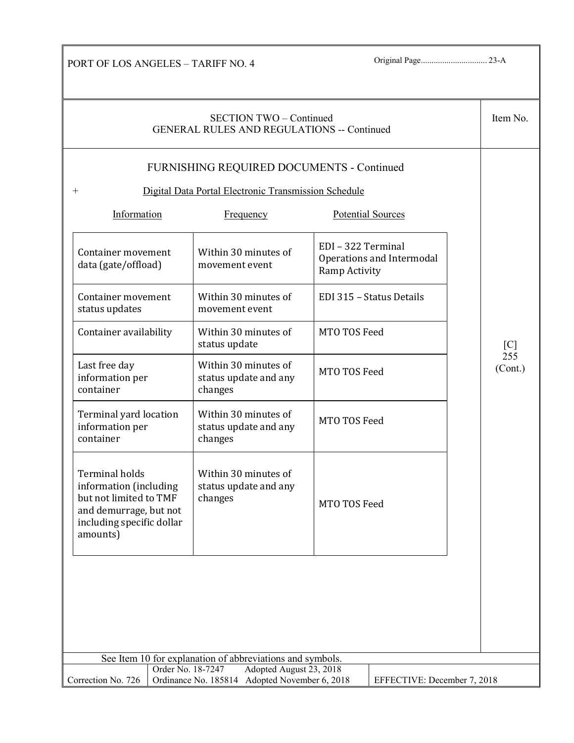| SECTION TWO - Continued<br><b>GENERAL RULES AND REGULATIONS -- Continued</b>                                                                       |                                                          |                                                                  |                |  |  |
|----------------------------------------------------------------------------------------------------------------------------------------------------|----------------------------------------------------------|------------------------------------------------------------------|----------------|--|--|
|                                                                                                                                                    | FURNISHING REQUIRED DOCUMENTS - Continued                |                                                                  |                |  |  |
| $^{+}$                                                                                                                                             | Digital Data Portal Electronic Transmission Schedule     |                                                                  |                |  |  |
| Information                                                                                                                                        | <b>Frequency</b>                                         | Potential Sources                                                |                |  |  |
| Container movement<br>data (gate/offload)                                                                                                          | Within 30 minutes of<br>movement event                   | EDI - 322 Terminal<br>Operations and Intermodal<br>Ramp Activity |                |  |  |
| Container movement<br>status updates                                                                                                               | Within 30 minutes of<br>movement event                   | EDI 315 - Status Details                                         |                |  |  |
| MTO TOS Feed<br>Container availability<br>Within 30 minutes of<br>status update                                                                    |                                                          | [C]                                                              |                |  |  |
| Last free day<br>information per<br>container                                                                                                      | Within 30 minutes of<br>status update and any<br>changes | MTO TOS Feed                                                     | 255<br>(Cont.) |  |  |
| Terminal yard location<br>information per<br>container                                                                                             | Within 30 minutes of<br>status update and any<br>changes | MTO TOS Feed                                                     |                |  |  |
| <b>Terminal holds</b><br>information (including<br>but not limited to TMF<br>and demurrage, but not<br>including specific dollar<br>amounts)       | Within 30 minutes of<br>status update and any<br>changes | MTO TOS Feed                                                     |                |  |  |
|                                                                                                                                                    |                                                          |                                                                  |                |  |  |
| See Item 10 for explanation of abbreviations and symbols.                                                                                          |                                                          |                                                                  |                |  |  |
| Order No. 18-7247<br>Adopted August 23, 2018<br>Ordinance No. 185814 Adopted November 6, 2018<br>Correction No. 726<br>EFFECTIVE: December 7, 2018 |                                                          |                                                                  |                |  |  |

ī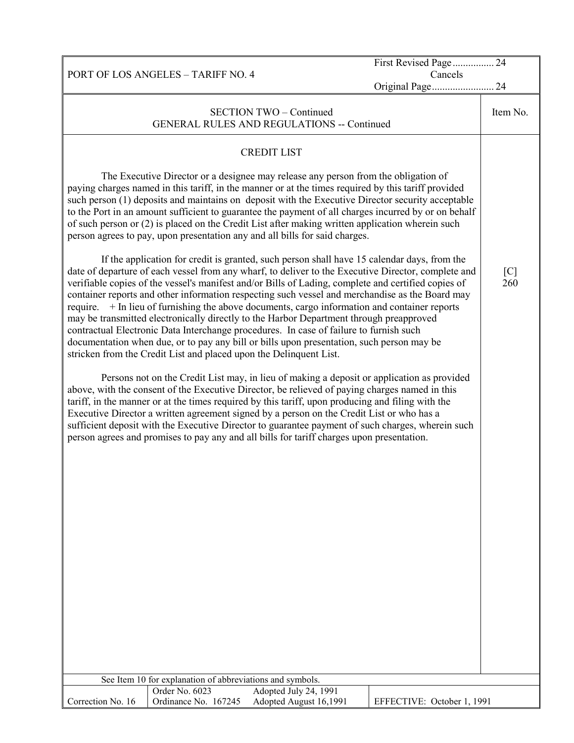|                                                                                                                                                                                                                                                                                                                                                                                                                                                                                                                                                                                                                                                                                                                                                                                                                                                                                                                                                                                                                                                                                                                                                                                                                                                                                                                                                                                                                                                                                                                                                                                                                                                                                                                                                                                                                                   | First Revised Page 24      |                        |
|-----------------------------------------------------------------------------------------------------------------------------------------------------------------------------------------------------------------------------------------------------------------------------------------------------------------------------------------------------------------------------------------------------------------------------------------------------------------------------------------------------------------------------------------------------------------------------------------------------------------------------------------------------------------------------------------------------------------------------------------------------------------------------------------------------------------------------------------------------------------------------------------------------------------------------------------------------------------------------------------------------------------------------------------------------------------------------------------------------------------------------------------------------------------------------------------------------------------------------------------------------------------------------------------------------------------------------------------------------------------------------------------------------------------------------------------------------------------------------------------------------------------------------------------------------------------------------------------------------------------------------------------------------------------------------------------------------------------------------------------------------------------------------------------------------------------------------------|----------------------------|------------------------|
| PORT OF LOS ANGELES - TARIFF NO. 4                                                                                                                                                                                                                                                                                                                                                                                                                                                                                                                                                                                                                                                                                                                                                                                                                                                                                                                                                                                                                                                                                                                                                                                                                                                                                                                                                                                                                                                                                                                                                                                                                                                                                                                                                                                                | Cancels                    |                        |
|                                                                                                                                                                                                                                                                                                                                                                                                                                                                                                                                                                                                                                                                                                                                                                                                                                                                                                                                                                                                                                                                                                                                                                                                                                                                                                                                                                                                                                                                                                                                                                                                                                                                                                                                                                                                                                   | Original Page 24           |                        |
|                                                                                                                                                                                                                                                                                                                                                                                                                                                                                                                                                                                                                                                                                                                                                                                                                                                                                                                                                                                                                                                                                                                                                                                                                                                                                                                                                                                                                                                                                                                                                                                                                                                                                                                                                                                                                                   |                            |                        |
| <b>GENERAL RULES AND REGULATIONS -- Continued</b>                                                                                                                                                                                                                                                                                                                                                                                                                                                                                                                                                                                                                                                                                                                                                                                                                                                                                                                                                                                                                                                                                                                                                                                                                                                                                                                                                                                                                                                                                                                                                                                                                                                                                                                                                                                 |                            |                        |
| <b>SECTION TWO - Continued</b><br><b>CREDIT LIST</b><br>The Executive Director or a designee may release any person from the obligation of<br>paying charges named in this tariff, in the manner or at the times required by this tariff provided<br>such person (1) deposits and maintains on deposit with the Executive Director security acceptable<br>to the Port in an amount sufficient to guarantee the payment of all charges incurred by or on behalf<br>of such person or (2) is placed on the Credit List after making written application wherein such<br>person agrees to pay, upon presentation any and all bills for said charges.<br>If the application for credit is granted, such person shall have 15 calendar days, from the<br>date of departure of each vessel from any wharf, to deliver to the Executive Director, complete and<br>verifiable copies of the vessel's manifest and/or Bills of Lading, complete and certified copies of<br>container reports and other information respecting such vessel and merchandise as the Board may<br>require. $+$ In lieu of furnishing the above documents, cargo information and container reports<br>may be transmitted electronically directly to the Harbor Department through preapproved<br>contractual Electronic Data Interchange procedures. In case of failure to furnish such<br>documentation when due, or to pay any bill or bills upon presentation, such person may be<br>stricken from the Credit List and placed upon the Delinquent List.<br>Persons not on the Credit List may, in lieu of making a deposit or application as provided<br>above, with the consent of the Executive Director, be relieved of paying charges named in this<br>tariff, in the manner or at the times required by this tariff, upon producing and filing with the |                            | Item No.<br>[C]<br>260 |
| Executive Director a written agreement signed by a person on the Credit List or who has a<br>sufficient deposit with the Executive Director to guarantee payment of such charges, wherein such<br>person agrees and promises to pay any and all bills for tariff charges upon presentation.                                                                                                                                                                                                                                                                                                                                                                                                                                                                                                                                                                                                                                                                                                                                                                                                                                                                                                                                                                                                                                                                                                                                                                                                                                                                                                                                                                                                                                                                                                                                       |                            |                        |
| See Item 10 for explanation of abbreviations and symbols.                                                                                                                                                                                                                                                                                                                                                                                                                                                                                                                                                                                                                                                                                                                                                                                                                                                                                                                                                                                                                                                                                                                                                                                                                                                                                                                                                                                                                                                                                                                                                                                                                                                                                                                                                                         |                            |                        |
| Order No. 6023<br>Adopted July 24, 1991<br>Correction No. 16<br>Ordinance No. 167245<br>Adopted August 16,1991                                                                                                                                                                                                                                                                                                                                                                                                                                                                                                                                                                                                                                                                                                                                                                                                                                                                                                                                                                                                                                                                                                                                                                                                                                                                                                                                                                                                                                                                                                                                                                                                                                                                                                                    | EFFECTIVE: October 1, 1991 |                        |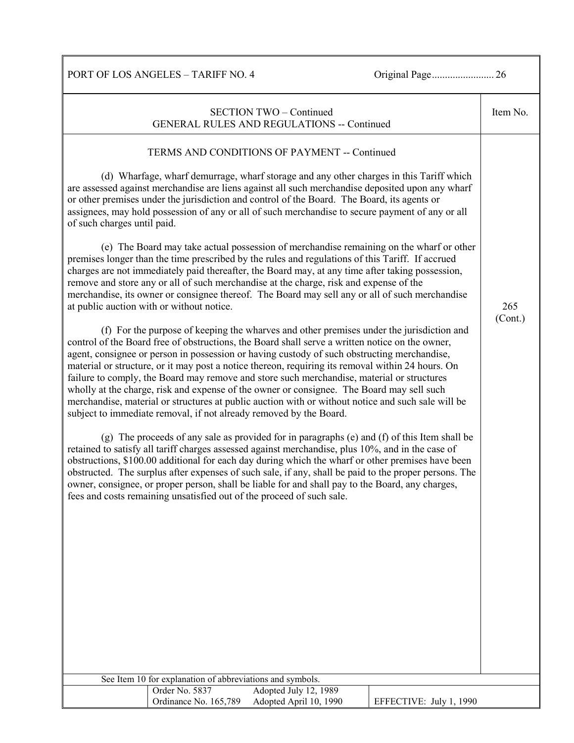| <b>SECTION TWO - Continued</b><br><b>GENERAL RULES AND REGULATIONS -- Continued</b>                                                                                                                                                                                                                                                                                                                                                                                                                                                                                                                                                                                                                                                                                                                                                                                                                                                                                                                                                                                                                                                                                                                                                                                                                                                                                                                                                                                                                                                                                                                                                                                                                                                                                                                                                                                                                                                                                                                                                                                                                                                                                                                                                                                                                                                                                                                                                                                                                         | Item No.       |
|-------------------------------------------------------------------------------------------------------------------------------------------------------------------------------------------------------------------------------------------------------------------------------------------------------------------------------------------------------------------------------------------------------------------------------------------------------------------------------------------------------------------------------------------------------------------------------------------------------------------------------------------------------------------------------------------------------------------------------------------------------------------------------------------------------------------------------------------------------------------------------------------------------------------------------------------------------------------------------------------------------------------------------------------------------------------------------------------------------------------------------------------------------------------------------------------------------------------------------------------------------------------------------------------------------------------------------------------------------------------------------------------------------------------------------------------------------------------------------------------------------------------------------------------------------------------------------------------------------------------------------------------------------------------------------------------------------------------------------------------------------------------------------------------------------------------------------------------------------------------------------------------------------------------------------------------------------------------------------------------------------------------------------------------------------------------------------------------------------------------------------------------------------------------------------------------------------------------------------------------------------------------------------------------------------------------------------------------------------------------------------------------------------------------------------------------------------------------------------------------------------------|----------------|
| TERMS AND CONDITIONS OF PAYMENT -- Continued<br>(d) Wharfage, wharf demurrage, wharf storage and any other charges in this Tariff which<br>are assessed against merchandise are liens against all such merchandise deposited upon any wharf<br>or other premises under the jurisdiction and control of the Board. The Board, its agents or<br>assignees, may hold possession of any or all of such merchandise to secure payment of any or all<br>of such charges until paid.<br>(e) The Board may take actual possession of merchandise remaining on the wharf or other<br>premises longer than the time prescribed by the rules and regulations of this Tariff. If accrued<br>charges are not immediately paid thereafter, the Board may, at any time after taking possession,<br>remove and store any or all of such merchandise at the charge, risk and expense of the<br>merchandise, its owner or consignee thereof. The Board may sell any or all of such merchandise<br>at public auction with or without notice.<br>(f) For the purpose of keeping the wharves and other premises under the jurisdiction and<br>control of the Board free of obstructions, the Board shall serve a written notice on the owner,<br>agent, consignee or person in possession or having custody of such obstructing merchandise,<br>material or structure, or it may post a notice thereon, requiring its removal within 24 hours. On<br>failure to comply, the Board may remove and store such merchandise, material or structures<br>wholly at the charge, risk and expense of the owner or consignee. The Board may sell such<br>merchandise, material or structures at public auction with or without notice and such sale will be<br>subject to immediate removal, if not already removed by the Board.<br>(g) The proceeds of any sale as provided for in paragraphs (e) and (f) of this Item shall be<br>retained to satisfy all tariff charges assessed against merchandise, plus 10%, and in the case of<br>obstructions, \$100.00 additional for each day during which the wharf or other premises have been<br>obstructed. The surplus after expenses of such sale, if any, shall be paid to the proper persons. The<br>owner, consignee, or proper person, shall be liable for and shall pay to the Board, any charges,<br>fees and costs remaining unsatisfied out of the proceed of such sale.<br>See Item 10 for explanation of abbreviations and symbols.<br>Adopted July 12, 1989<br>Order No. 5837 | 265<br>(Cont.) |
| Ordinance No. 165,789<br>Adopted April 10, 1990<br>EFFECTIVE: July 1, 1990                                                                                                                                                                                                                                                                                                                                                                                                                                                                                                                                                                                                                                                                                                                                                                                                                                                                                                                                                                                                                                                                                                                                                                                                                                                                                                                                                                                                                                                                                                                                                                                                                                                                                                                                                                                                                                                                                                                                                                                                                                                                                                                                                                                                                                                                                                                                                                                                                                  |                |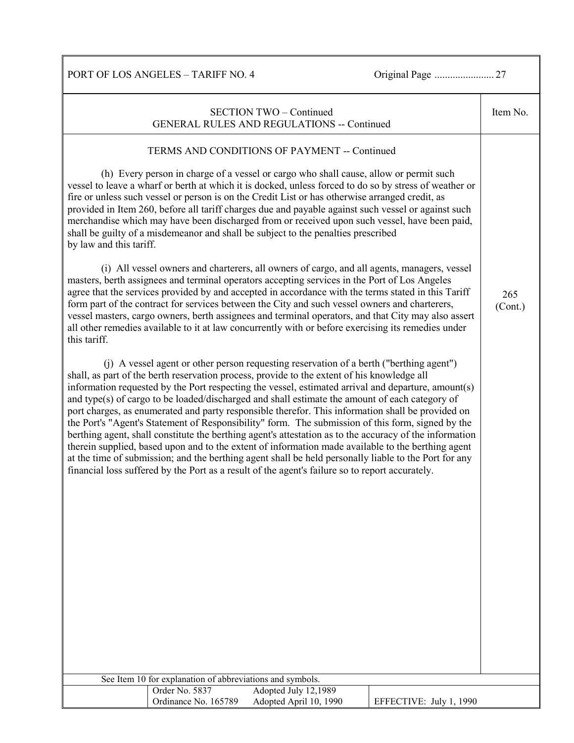|                                                                                                                                                                                                                                                                                                                                                                                                                                                                                                                                                                                                                                                                                                                                                                                                                                                                                                                                                                                                                                        |                                                                             | <b>SECTION TWO - Continued</b><br>GENERAL RULES AND REGULATIONS -- Continued                                                                                                                                                                                                                                                                                                                                                                                                                                                                                                                                                                                                                                                                                                                                                                                                                                                                                                                                                                                                                                                                                                                                                                                           |                         | Item No.       |
|----------------------------------------------------------------------------------------------------------------------------------------------------------------------------------------------------------------------------------------------------------------------------------------------------------------------------------------------------------------------------------------------------------------------------------------------------------------------------------------------------------------------------------------------------------------------------------------------------------------------------------------------------------------------------------------------------------------------------------------------------------------------------------------------------------------------------------------------------------------------------------------------------------------------------------------------------------------------------------------------------------------------------------------|-----------------------------------------------------------------------------|------------------------------------------------------------------------------------------------------------------------------------------------------------------------------------------------------------------------------------------------------------------------------------------------------------------------------------------------------------------------------------------------------------------------------------------------------------------------------------------------------------------------------------------------------------------------------------------------------------------------------------------------------------------------------------------------------------------------------------------------------------------------------------------------------------------------------------------------------------------------------------------------------------------------------------------------------------------------------------------------------------------------------------------------------------------------------------------------------------------------------------------------------------------------------------------------------------------------------------------------------------------------|-------------------------|----------------|
| by law and this tariff.<br>this tariff.                                                                                                                                                                                                                                                                                                                                                                                                                                                                                                                                                                                                                                                                                                                                                                                                                                                                                                                                                                                                |                                                                             | TERMS AND CONDITIONS OF PAYMENT -- Continued<br>(h) Every person in charge of a vessel or cargo who shall cause, allow or permit such<br>vessel to leave a wharf or berth at which it is docked, unless forced to do so by stress of weather or<br>fire or unless such vessel or person is on the Credit List or has otherwise arranged credit, as<br>provided in Item 260, before all tariff charges due and payable against such vessel or against such<br>merchandise which may have been discharged from or received upon such vessel, have been paid,<br>shall be guilty of a misdemeanor and shall be subject to the penalties prescribed<br>(i) All vessel owners and charterers, all owners of cargo, and all agents, managers, vessel<br>masters, berth assignees and terminal operators accepting services in the Port of Los Angeles<br>agree that the services provided by and accepted in accordance with the terms stated in this Tariff<br>form part of the contract for services between the City and such vessel owners and charterers,<br>vessel masters, cargo owners, berth assignees and terminal operators, and that City may also assert<br>all other remedies available to it at law concurrently with or before exercising its remedies under |                         | 265<br>(Cont.) |
| (j) A vessel agent or other person requesting reservation of a berth ("berthing agent")<br>shall, as part of the berth reservation process, provide to the extent of his knowledge all<br>information requested by the Port respecting the vessel, estimated arrival and departure, amount(s)<br>and type(s) of cargo to be loaded/discharged and shall estimate the amount of each category of<br>port charges, as enumerated and party responsible therefor. This information shall be provided on<br>the Port's "Agent's Statement of Responsibility" form. The submission of this form, signed by the<br>berthing agent, shall constitute the berthing agent's attestation as to the accuracy of the information<br>therein supplied, based upon and to the extent of information made available to the berthing agent<br>at the time of submission; and the berthing agent shall be held personally liable to the Port for any<br>financial loss suffered by the Port as a result of the agent's failure so to report accurately. |                                                                             |                                                                                                                                                                                                                                                                                                                                                                                                                                                                                                                                                                                                                                                                                                                                                                                                                                                                                                                                                                                                                                                                                                                                                                                                                                                                        |                         |                |
|                                                                                                                                                                                                                                                                                                                                                                                                                                                                                                                                                                                                                                                                                                                                                                                                                                                                                                                                                                                                                                        |                                                                             |                                                                                                                                                                                                                                                                                                                                                                                                                                                                                                                                                                                                                                                                                                                                                                                                                                                                                                                                                                                                                                                                                                                                                                                                                                                                        |                         |                |
|                                                                                                                                                                                                                                                                                                                                                                                                                                                                                                                                                                                                                                                                                                                                                                                                                                                                                                                                                                                                                                        | See Item 10 for explanation of abbreviations and symbols.<br>Order No. 5837 | Adopted July 12,1989                                                                                                                                                                                                                                                                                                                                                                                                                                                                                                                                                                                                                                                                                                                                                                                                                                                                                                                                                                                                                                                                                                                                                                                                                                                   |                         |                |
|                                                                                                                                                                                                                                                                                                                                                                                                                                                                                                                                                                                                                                                                                                                                                                                                                                                                                                                                                                                                                                        | Ordinance No. 165789                                                        | Adopted April 10, 1990                                                                                                                                                                                                                                                                                                                                                                                                                                                                                                                                                                                                                                                                                                                                                                                                                                                                                                                                                                                                                                                                                                                                                                                                                                                 | EFFECTIVE: July 1, 1990 |                |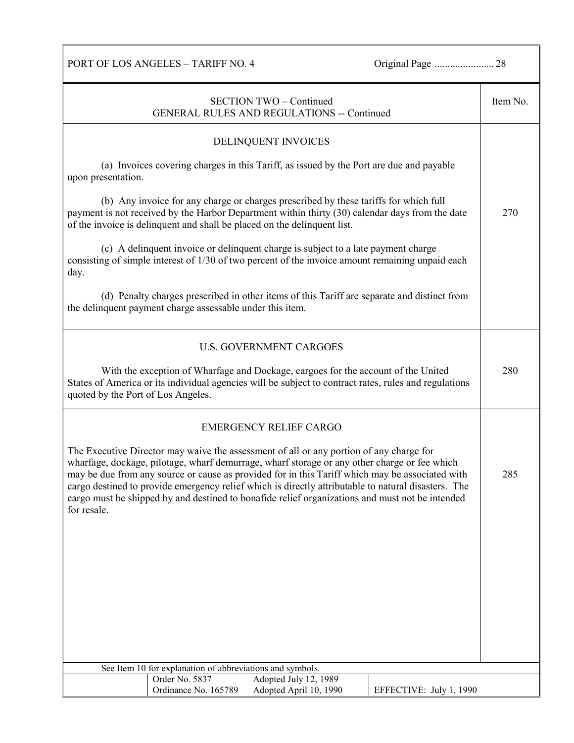| <b>SECTION TWO - Continued</b><br><b>GENERAL RULES AND REGULATIONS -- Continued</b>                                                                                                                                                                                                                                                                                                                                                                                                                                 |                                                           |                                                                                                                                                                                                                                                                     |                         | Item No. |
|---------------------------------------------------------------------------------------------------------------------------------------------------------------------------------------------------------------------------------------------------------------------------------------------------------------------------------------------------------------------------------------------------------------------------------------------------------------------------------------------------------------------|-----------------------------------------------------------|---------------------------------------------------------------------------------------------------------------------------------------------------------------------------------------------------------------------------------------------------------------------|-------------------------|----------|
|                                                                                                                                                                                                                                                                                                                                                                                                                                                                                                                     |                                                           | DELINQUENT INVOICES                                                                                                                                                                                                                                                 |                         |          |
| upon presentation.                                                                                                                                                                                                                                                                                                                                                                                                                                                                                                  |                                                           | (a) Invoices covering charges in this Tariff, as issued by the Port are due and payable                                                                                                                                                                             |                         |          |
|                                                                                                                                                                                                                                                                                                                                                                                                                                                                                                                     |                                                           | (b) Any invoice for any charge or charges prescribed by these tariffs for which full<br>payment is not received by the Harbor Department within thirty (30) calendar days from the date<br>of the invoice is delinquent and shall be placed on the delinquent list. |                         | 270      |
| day.                                                                                                                                                                                                                                                                                                                                                                                                                                                                                                                |                                                           | (c) A delinquent invoice or delinquent charge is subject to a late payment charge<br>consisting of simple interest of 1/30 of two percent of the invoice amount remaining unpaid each                                                                               |                         |          |
|                                                                                                                                                                                                                                                                                                                                                                                                                                                                                                                     | the delinquent payment charge assessable under this item. | (d) Penalty charges prescribed in other items of this Tariff are separate and distinct from                                                                                                                                                                         |                         |          |
|                                                                                                                                                                                                                                                                                                                                                                                                                                                                                                                     |                                                           | <b>U.S. GOVERNMENT CARGOES</b>                                                                                                                                                                                                                                      |                         |          |
| With the exception of Wharfage and Dockage, cargoes for the account of the United<br>States of America or its individual agencies will be subject to contract rates, rules and regulations<br>quoted by the Port of Los Angeles.                                                                                                                                                                                                                                                                                    |                                                           |                                                                                                                                                                                                                                                                     | 280                     |          |
|                                                                                                                                                                                                                                                                                                                                                                                                                                                                                                                     |                                                           | <b>EMERGENCY RELIEF CARGO</b>                                                                                                                                                                                                                                       |                         |          |
| The Executive Director may waive the assessment of all or any portion of any charge for<br>wharfage, dockage, pilotage, wharf demurrage, wharf storage or any other charge or fee which<br>may be due from any source or cause as provided for in this Tariff which may be associated with<br>cargo destined to provide emergency relief which is directly attributable to natural disasters. The<br>cargo must be shipped by and destined to bonafide relief organizations and must not be intended<br>for resale. |                                                           |                                                                                                                                                                                                                                                                     | 285                     |          |
|                                                                                                                                                                                                                                                                                                                                                                                                                                                                                                                     |                                                           |                                                                                                                                                                                                                                                                     |                         |          |
|                                                                                                                                                                                                                                                                                                                                                                                                                                                                                                                     |                                                           |                                                                                                                                                                                                                                                                     |                         |          |
|                                                                                                                                                                                                                                                                                                                                                                                                                                                                                                                     |                                                           |                                                                                                                                                                                                                                                                     |                         |          |
|                                                                                                                                                                                                                                                                                                                                                                                                                                                                                                                     |                                                           |                                                                                                                                                                                                                                                                     |                         |          |
|                                                                                                                                                                                                                                                                                                                                                                                                                                                                                                                     |                                                           |                                                                                                                                                                                                                                                                     |                         |          |
|                                                                                                                                                                                                                                                                                                                                                                                                                                                                                                                     | See Item 10 for explanation of abbreviations and symbols. |                                                                                                                                                                                                                                                                     |                         |          |
|                                                                                                                                                                                                                                                                                                                                                                                                                                                                                                                     | Order No. 5837<br>Ordinance No. 165789                    | Adopted July 12, 1989<br>Adopted April 10, 1990                                                                                                                                                                                                                     | EFFECTIVE: July 1, 1990 |          |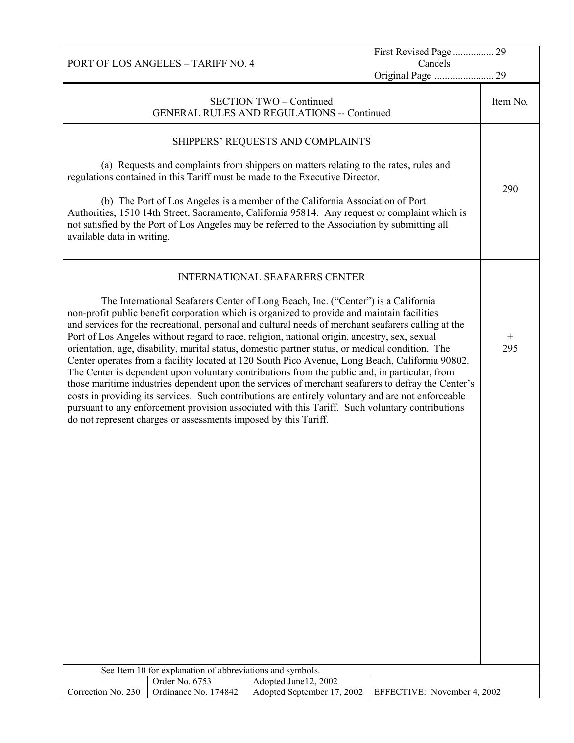|                                                                                                                                                                                                                                                                                                                                                                                                                                                                                                                                                                                                                                                                                                                                                                                                                                                                                                                                                                                                                                                                                   |                                       | First Revised Page 29        |               |  |  |
|-----------------------------------------------------------------------------------------------------------------------------------------------------------------------------------------------------------------------------------------------------------------------------------------------------------------------------------------------------------------------------------------------------------------------------------------------------------------------------------------------------------------------------------------------------------------------------------------------------------------------------------------------------------------------------------------------------------------------------------------------------------------------------------------------------------------------------------------------------------------------------------------------------------------------------------------------------------------------------------------------------------------------------------------------------------------------------------|---------------------------------------|------------------------------|---------------|--|--|
| <b>PORT OF LOS ANGELES - TARIFF NO. 4</b>                                                                                                                                                                                                                                                                                                                                                                                                                                                                                                                                                                                                                                                                                                                                                                                                                                                                                                                                                                                                                                         |                                       | Cancels<br>Original Page  29 |               |  |  |
| <b>GENERAL RULES AND REGULATIONS -- Continued</b>                                                                                                                                                                                                                                                                                                                                                                                                                                                                                                                                                                                                                                                                                                                                                                                                                                                                                                                                                                                                                                 | <b>SECTION TWO - Continued</b>        |                              | Item No.      |  |  |
|                                                                                                                                                                                                                                                                                                                                                                                                                                                                                                                                                                                                                                                                                                                                                                                                                                                                                                                                                                                                                                                                                   | SHIPPERS' REQUESTS AND COMPLAINTS     |                              |               |  |  |
| (a) Requests and complaints from shippers on matters relating to the rates, rules and<br>regulations contained in this Tariff must be made to the Executive Director.                                                                                                                                                                                                                                                                                                                                                                                                                                                                                                                                                                                                                                                                                                                                                                                                                                                                                                             |                                       |                              | 290           |  |  |
| (b) The Port of Los Angeles is a member of the California Association of Port<br>Authorities, 1510 14th Street, Sacramento, California 95814. Any request or complaint which is<br>not satisfied by the Port of Los Angeles may be referred to the Association by submitting all<br>available data in writing.                                                                                                                                                                                                                                                                                                                                                                                                                                                                                                                                                                                                                                                                                                                                                                    |                                       |                              |               |  |  |
|                                                                                                                                                                                                                                                                                                                                                                                                                                                                                                                                                                                                                                                                                                                                                                                                                                                                                                                                                                                                                                                                                   | <b>INTERNATIONAL SEAFARERS CENTER</b> |                              |               |  |  |
| The International Seafarers Center of Long Beach, Inc. ("Center") is a California<br>non-profit public benefit corporation which is organized to provide and maintain facilities<br>and services for the recreational, personal and cultural needs of merchant seafarers calling at the<br>Port of Los Angeles without regard to race, religion, national origin, ancestry, sex, sexual<br>orientation, age, disability, marital status, domestic partner status, or medical condition. The<br>Center operates from a facility located at 120 South Pico Avenue, Long Beach, California 90802.<br>The Center is dependent upon voluntary contributions from the public and, in particular, from<br>those maritime industries dependent upon the services of merchant seafarers to defray the Center's<br>costs in providing its services. Such contributions are entirely voluntary and are not enforceable<br>pursuant to any enforcement provision associated with this Tariff. Such voluntary contributions<br>do not represent charges or assessments imposed by this Tariff. |                                       |                              | $^{+}$<br>295 |  |  |
|                                                                                                                                                                                                                                                                                                                                                                                                                                                                                                                                                                                                                                                                                                                                                                                                                                                                                                                                                                                                                                                                                   |                                       |                              |               |  |  |
|                                                                                                                                                                                                                                                                                                                                                                                                                                                                                                                                                                                                                                                                                                                                                                                                                                                                                                                                                                                                                                                                                   |                                       |                              |               |  |  |
|                                                                                                                                                                                                                                                                                                                                                                                                                                                                                                                                                                                                                                                                                                                                                                                                                                                                                                                                                                                                                                                                                   |                                       |                              |               |  |  |
|                                                                                                                                                                                                                                                                                                                                                                                                                                                                                                                                                                                                                                                                                                                                                                                                                                                                                                                                                                                                                                                                                   |                                       |                              |               |  |  |
|                                                                                                                                                                                                                                                                                                                                                                                                                                                                                                                                                                                                                                                                                                                                                                                                                                                                                                                                                                                                                                                                                   |                                       |                              |               |  |  |
|                                                                                                                                                                                                                                                                                                                                                                                                                                                                                                                                                                                                                                                                                                                                                                                                                                                                                                                                                                                                                                                                                   |                                       |                              |               |  |  |
|                                                                                                                                                                                                                                                                                                                                                                                                                                                                                                                                                                                                                                                                                                                                                                                                                                                                                                                                                                                                                                                                                   |                                       |                              |               |  |  |
|                                                                                                                                                                                                                                                                                                                                                                                                                                                                                                                                                                                                                                                                                                                                                                                                                                                                                                                                                                                                                                                                                   |                                       |                              |               |  |  |
| See Item 10 for explanation of abbreviations and symbols.                                                                                                                                                                                                                                                                                                                                                                                                                                                                                                                                                                                                                                                                                                                                                                                                                                                                                                                                                                                                                         |                                       |                              |               |  |  |
| Order No. 6753                                                                                                                                                                                                                                                                                                                                                                                                                                                                                                                                                                                                                                                                                                                                                                                                                                                                                                                                                                                                                                                                    | Adopted June12, 2002                  |                              |               |  |  |
| Correction No. 230<br>Ordinance No. 174842                                                                                                                                                                                                                                                                                                                                                                                                                                                                                                                                                                                                                                                                                                                                                                                                                                                                                                                                                                                                                                        | Adopted September 17, 2002            | EFFECTIVE: November 4, 2002  |               |  |  |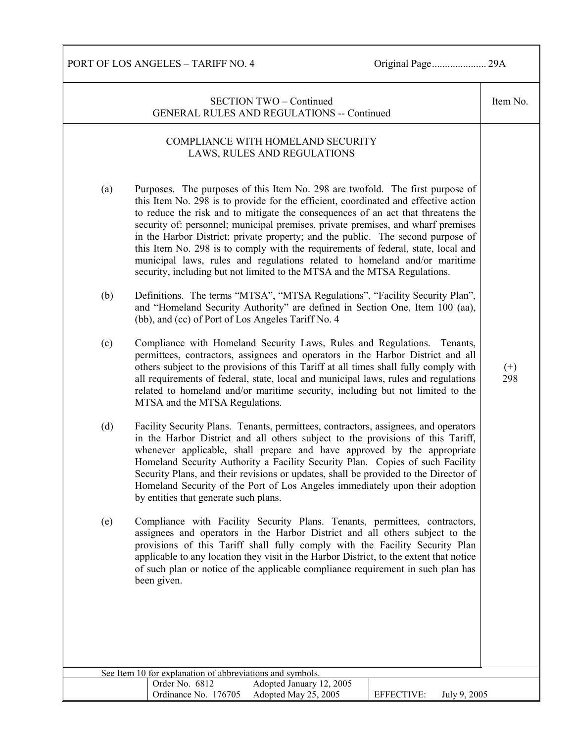Item No.

(+) 298

PORT OF LOS ANGELES – TARIFF NO. 4 Original Page..................... 29A

| $SECTION TWO - Continued$                  |
|--------------------------------------------|
| GENERAL RULES AND REGULATIONS -- Continued |

## COMPLIANCE WITH HOMELAND SECURITY LAWS, RULES AND REGULATIONS

- (a) Purposes. The purposes of this Item No. 298 are twofold. The first purpose of this Item No. 298 is to provide for the efficient, coordinated and effective action to reduce the risk and to mitigate the consequences of an act that threatens the security of: personnel; municipal premises, private premises, and wharf premises in the Harbor District; private property; and the public. The second purpose of this Item No. 298 is to comply with the requirements of federal, state, local and municipal laws, rules and regulations related to homeland and/or maritime security, including but not limited to the MTSA and the MTSA Regulations.
- (b) Definitions. The terms "MTSA", "MTSA Regulations", "Facility Security Plan", and "Homeland Security Authority" are defined in Section One, Item 100 (aa), (bb), and (cc) of Port of Los Angeles Tariff No. 4
- (c) Compliance with Homeland Security Laws, Rules and Regulations. Tenants, permittees, contractors, assignees and operators in the Harbor District and all others subject to the provisions of this Tariff at all times shall fully comply with all requirements of federal, state, local and municipal laws, rules and regulations related to homeland and/or maritime security, including but not limited to the MTSA and the MTSA Regulations.
- (d) Facility Security Plans. Tenants, permittees, contractors, assignees, and operators in the Harbor District and all others subject to the provisions of this Tariff, whenever applicable, shall prepare and have approved by the appropriate Homeland Security Authority a Facility Security Plan. Copies of such Facility Security Plans, and their revisions or updates, shall be provided to the Director of Homeland Security of the Port of Los Angeles immediately upon their adoption by entities that generate such plans.
- (e) Compliance with Facility Security Plans. Tenants, permittees, contractors, assignees and operators in the Harbor District and all others subject to the provisions of this Tariff shall fully comply with the Facility Security Plan applicable to any location they visit in the Harbor District, to the extent that notice of such plan or notice of the applicable compliance requirement in such plan has been given.

| See Item 10 for explanation of abbreviations and symbols. |                          |            |              |  |
|-----------------------------------------------------------|--------------------------|------------|--------------|--|
| Order No. 6812                                            | Adopted January 12, 2005 |            |              |  |
| Ordinance No. 176705                                      | Adopted May 25, 2005     | EFFECTIVE: | July 9, 2005 |  |
|                                                           |                          |            |              |  |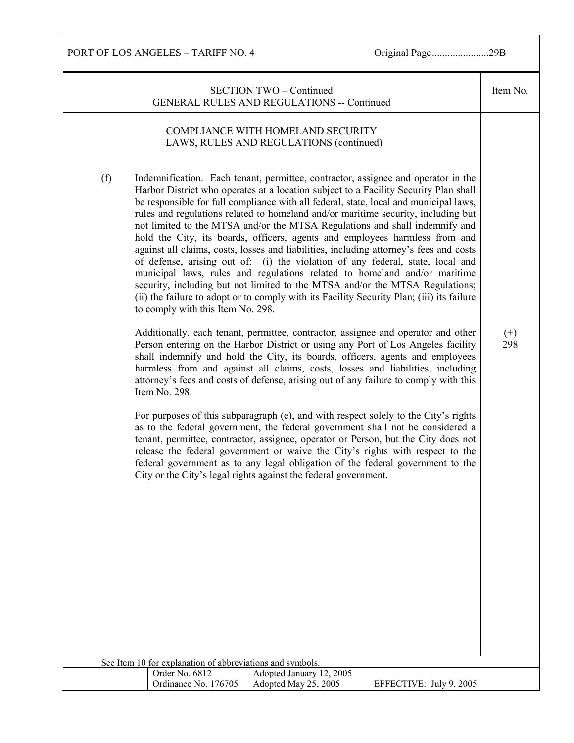| <b>SECTION TWO - Continued</b><br><b>GENERAL RULES AND REGULATIONS -- Continued</b>                                                                                                                                                                                                                                                                                                                                                                                                                                                                                                                                                                                                                                                                                                                                                                                                                                                                                                                     | Item No.        |
|---------------------------------------------------------------------------------------------------------------------------------------------------------------------------------------------------------------------------------------------------------------------------------------------------------------------------------------------------------------------------------------------------------------------------------------------------------------------------------------------------------------------------------------------------------------------------------------------------------------------------------------------------------------------------------------------------------------------------------------------------------------------------------------------------------------------------------------------------------------------------------------------------------------------------------------------------------------------------------------------------------|-----------------|
| COMPLIANCE WITH HOMELAND SECURITY<br>LAWS, RULES AND REGULATIONS (continued)                                                                                                                                                                                                                                                                                                                                                                                                                                                                                                                                                                                                                                                                                                                                                                                                                                                                                                                            |                 |
| (f)<br>Indemnification. Each tenant, permittee, contractor, assignee and operator in the<br>Harbor District who operates at a location subject to a Facility Security Plan shall<br>be responsible for full compliance with all federal, state, local and municipal laws,<br>rules and regulations related to homeland and/or maritime security, including but<br>not limited to the MTSA and/or the MTSA Regulations and shall indemnify and<br>hold the City, its boards, officers, agents and employees harmless from and<br>against all claims, costs, losses and liabilities, including attorney's fees and costs<br>of defense, arising out of: (i) the violation of any federal, state, local and<br>municipal laws, rules and regulations related to homeland and/or maritime<br>security, including but not limited to the MTSA and/or the MTSA Regulations;<br>(ii) the failure to adopt or to comply with its Facility Security Plan; (iii) its failure<br>to comply with this Item No. 298. |                 |
| Additionally, each tenant, permittee, contractor, assignee and operator and other<br>Person entering on the Harbor District or using any Port of Los Angeles facility<br>shall indemnify and hold the City, its boards, officers, agents and employees<br>harmless from and against all claims, costs, losses and liabilities, including<br>attorney's fees and costs of defense, arising out of any failure to comply with this<br>Item No. 298.                                                                                                                                                                                                                                                                                                                                                                                                                                                                                                                                                       | $^{(+)}$<br>298 |
| For purposes of this subparagraph (e), and with respect solely to the City's rights<br>as to the federal government, the federal government shall not be considered a<br>tenant, permittee, contractor, assignee, operator or Person, but the City does not<br>release the federal government or waive the City's rights with respect to the<br>federal government as to any legal obligation of the federal government to the<br>City or the City's legal rights against the federal government.                                                                                                                                                                                                                                                                                                                                                                                                                                                                                                       |                 |
|                                                                                                                                                                                                                                                                                                                                                                                                                                                                                                                                                                                                                                                                                                                                                                                                                                                                                                                                                                                                         |                 |
|                                                                                                                                                                                                                                                                                                                                                                                                                                                                                                                                                                                                                                                                                                                                                                                                                                                                                                                                                                                                         |                 |
|                                                                                                                                                                                                                                                                                                                                                                                                                                                                                                                                                                                                                                                                                                                                                                                                                                                                                                                                                                                                         |                 |
| See Item 10 for explanation of abbreviations and symbols.<br>Adopted January 12, 2005<br>Order No. 6812                                                                                                                                                                                                                                                                                                                                                                                                                                                                                                                                                                                                                                                                                                                                                                                                                                                                                                 |                 |
| Ordinance No. 176705<br>Adopted May 25, 2005<br>EFFECTIVE: July 9, 2005                                                                                                                                                                                                                                                                                                                                                                                                                                                                                                                                                                                                                                                                                                                                                                                                                                                                                                                                 |                 |
|                                                                                                                                                                                                                                                                                                                                                                                                                                                                                                                                                                                                                                                                                                                                                                                                                                                                                                                                                                                                         |                 |